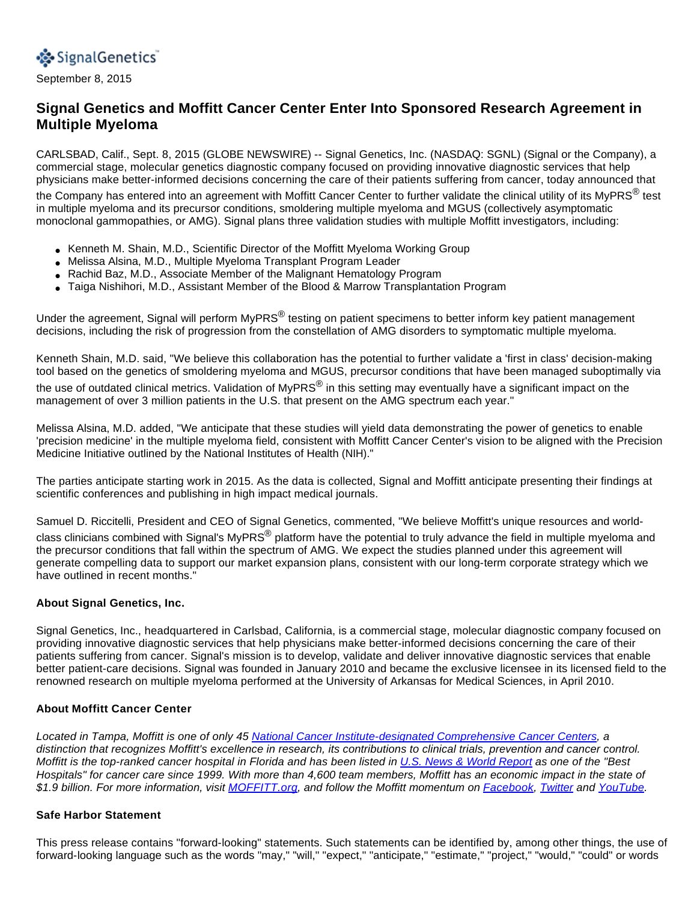

September 8, 2015

# **Signal Genetics and Moffitt Cancer Center Enter Into Sponsored Research Agreement in Multiple Myeloma**

CARLSBAD, Calif., Sept. 8, 2015 (GLOBE NEWSWIRE) -- Signal Genetics, Inc. (NASDAQ: SGNL) (Signal or the Company), a commercial stage, molecular genetics diagnostic company focused on providing innovative diagnostic services that help physicians make better-informed decisions concerning the care of their patients suffering from cancer, today announced that

the Company has entered into an agreement with Moffitt Cancer Center to further validate the clinical utility of its MyPRS<sup>®</sup> test in multiple myeloma and its precursor conditions, smoldering multiple myeloma and MGUS (collectively asymptomatic monoclonal gammopathies, or AMG). Signal plans three validation studies with multiple Moffitt investigators, including:

- Kenneth M. Shain, M.D., Scientific Director of the Moffitt Myeloma Working Group
- Melissa Alsina, M.D., Multiple Myeloma Transplant Program Leader
- Rachid Baz, M.D., Associate Member of the Malignant Hematology Program
- Taiga Nishihori, M.D., Assistant Member of the Blood & Marrow Transplantation Program

Under the agreement, Signal will perform MyPRS<sup>®</sup> testing on patient specimens to better inform key patient management decisions, including the risk of progression from the constellation of AMG disorders to symptomatic multiple myeloma.

Kenneth Shain, M.D. said, "We believe this collaboration has the potential to further validate a 'first in class' decision-making tool based on the genetics of smoldering myeloma and MGUS, precursor conditions that have been managed suboptimally via the use of outdated clinical metrics. Validation of MyPRS<sup>®</sup> in this setting may eventually have a significant impact on the management of over 3 million patients in the U.S. that present on the AMG spectrum each year."

Melissa Alsina, M.D. added, "We anticipate that these studies will yield data demonstrating the power of genetics to enable 'precision medicine' in the multiple myeloma field, consistent with Moffitt Cancer Center's vision to be aligned with the Precision Medicine Initiative outlined by the National Institutes of Health (NIH)."

The parties anticipate starting work in 2015. As the data is collected, Signal and Moffitt anticipate presenting their findings at scientific conferences and publishing in high impact medical journals.

Samuel D. Riccitelli, President and CEO of Signal Genetics, commented, "We believe Moffitt's unique resources and world-

class clinicians combined with Signal's MyPRS<sup>®</sup> platform have the potential to truly advance the field in multiple myeloma and the precursor conditions that fall within the spectrum of AMG. We expect the studies planned under this agreement will generate compelling data to support our market expansion plans, consistent with our long-term corporate strategy which we have outlined in recent months."

### **About Signal Genetics, Inc.**

Signal Genetics, Inc., headquartered in Carlsbad, California, is a commercial stage, molecular diagnostic company focused on providing innovative diagnostic services that help physicians make better-informed decisions concerning the care of their patients suffering from cancer. Signal's mission is to develop, validate and deliver innovative diagnostic services that enable better patient-care decisions. Signal was founded in January 2010 and became the exclusive licensee in its licensed field to the renowned research on multiple myeloma performed at the University of Arkansas for Medical Sciences, in April 2010.

### **About Moffitt Cancer Center**

Located in Tampa, Moffitt is one of only 45 [National Cancer Institute-designated Comprehensive Cancer Centers,](http://www.globenewswire.com/newsroom/ctr?d=10147645&l=10&a=National%20Cancer%20Institute-designated%20Comprehensive%20Cancer%20Centers&u=http%3A%2F%2Fwww.cancer.gov%2Fresearch%2Fnci-role%2Fcancer-centers) a distinction that recognizes Moffitt's excellence in research, its contributions to clinical trials, prevention and cancer control. Moffitt is the top-ranked cancer hospital in Florida and has been listed in [U.S. News & World Report](http://www.globenewswire.com/newsroom/ctr?d=10147645&l=10&a=U.S.%20News%20%26%20World%20Report&u=http%3A%2F%2Fhealth.usnews.com%2Fbest-hospitals%2Frankings) as one of the "Best Hospitals" for cancer care since 1999. With more than 4,600 team members, Moffitt has an economic impact in the state of \$1.9 billion. For more information, visit [MOFFITT.org,](http://www.globenewswire.com/newsroom/ctr?d=10147645&l=10&a=MOFFITT.org&u=http%3A%2F%2Fwww.moffitt.org%2F) and follow the Moffitt momentum on [Facebook](http://www.globenewswire.com/newsroom/ctr?d=10147645&l=10&a=Facebook&u=http%3A%2F%2Fwww.facebook.com%2FMoffittCancerCenter), [Twitter](http://www.globenewswire.com/newsroom/ctr?d=10147645&l=10&a=Twitter&u=https%3A%2F%2Ftwitter.com%2Fmoffittnews) and [YouTube](http://www.globenewswire.com/newsroom/ctr?d=10147645&l=10&a=YouTube&u=http%3A%2F%2Fwww.youtube.com%2Fuser%2FMoffittNews).

#### **Safe Harbor Statement**

This press release contains "forward-looking" statements. Such statements can be identified by, among other things, the use of forward-looking language such as the words "may," "will," "expect," "anticipate," "estimate," "project," "would," "could" or words